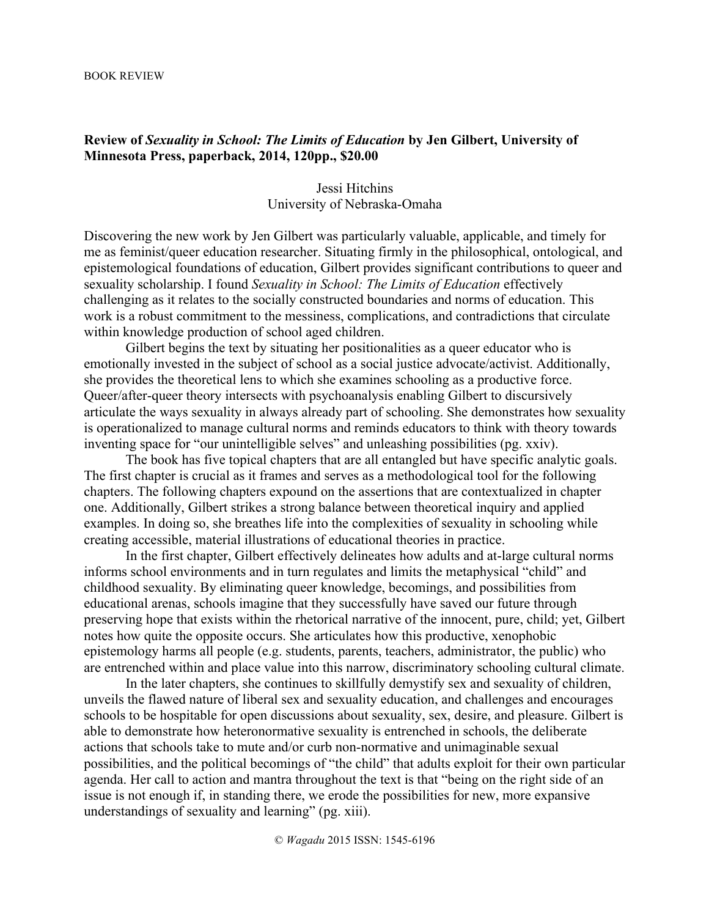## BOOK REVIEW

## **Review of** *Sexuality in School: The Limits of Education* **by Jen Gilbert, University of Minnesota Press, paperback, 2014, 120pp., \$20.00**

## Jessi Hitchins University of Nebraska-Omaha

Discovering the new work by Jen Gilbert was particularly valuable, applicable, and timely for me as feminist/queer education researcher. Situating firmly in the philosophical, ontological, and epistemological foundations of education, Gilbert provides significant contributions to queer and sexuality scholarship. I found *Sexuality in School: The Limits of Education* effectively challenging as it relates to the socially constructed boundaries and norms of education. This work is a robust commitment to the messiness, complications, and contradictions that circulate within knowledge production of school aged children.

Gilbert begins the text by situating her positionalities as a queer educator who is emotionally invested in the subject of school as a social justice advocate/activist. Additionally, she provides the theoretical lens to which she examines schooling as a productive force. Queer/after-queer theory intersects with psychoanalysis enabling Gilbert to discursively articulate the ways sexuality in always already part of schooling. She demonstrates how sexuality is operationalized to manage cultural norms and reminds educators to think with theory towards inventing space for "our unintelligible selves" and unleashing possibilities (pg. xxiv).

The book has five topical chapters that are all entangled but have specific analytic goals. The first chapter is crucial as it frames and serves as a methodological tool for the following chapters. The following chapters expound on the assertions that are contextualized in chapter one. Additionally, Gilbert strikes a strong balance between theoretical inquiry and applied examples. In doing so, she breathes life into the complexities of sexuality in schooling while creating accessible, material illustrations of educational theories in practice.

In the first chapter, Gilbert effectively delineates how adults and at-large cultural norms informs school environments and in turn regulates and limits the metaphysical "child" and childhood sexuality. By eliminating queer knowledge, becomings, and possibilities from educational arenas, schools imagine that they successfully have saved our future through preserving hope that exists within the rhetorical narrative of the innocent, pure, child; yet, Gilbert notes how quite the opposite occurs. She articulates how this productive, xenophobic epistemology harms all people (e.g. students, parents, teachers, administrator, the public) who are entrenched within and place value into this narrow, discriminatory schooling cultural climate.

In the later chapters, she continues to skillfully demystify sex and sexuality of children, unveils the flawed nature of liberal sex and sexuality education, and challenges and encourages schools to be hospitable for open discussions about sexuality, sex, desire, and pleasure. Gilbert is able to demonstrate how heteronormative sexuality is entrenched in schools, the deliberate actions that schools take to mute and/or curb non-normative and unimaginable sexual possibilities, and the political becomings of "the child" that adults exploit for their own particular agenda. Her call to action and mantra throughout the text is that "being on the right side of an issue is not enough if, in standing there, we erode the possibilities for new, more expansive understandings of sexuality and learning" (pg. xiii).